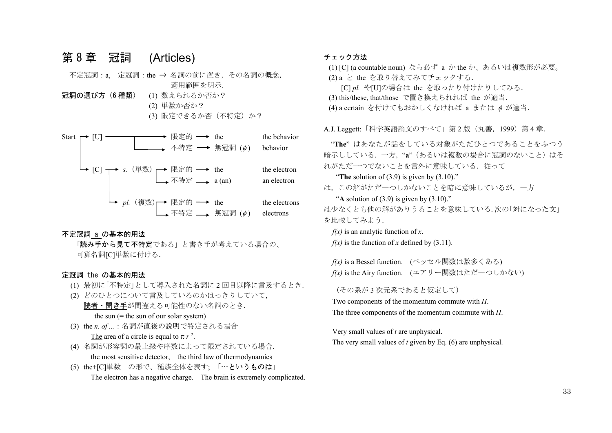# 第 8 章 冠詞 (Articles)

 不定冠詞:a, 定冠詞:the ⇒ 名詞の前に置き,その名詞の概念, 適用範囲を明示. 冠詞の選び方(6種類) (1) 数えられるか否か?

> (2) 単数か否か? (3) 限定できるか否(不特定)か?

Start  $\rightarrow$  [U]  $\rightarrow$  [R  $\neq$  fb  $\rightarrow$  the the behavior 不特定 → 無冠詞  $(\phi)$  behavior  $\rightarrow$  [C]  $\rightarrow$  s. (単数)  $\rightarrow$   $\mathbb{R}$ 定的  $\rightarrow$  the the electron 不特定 → a (an) an electron  $pl.$  (複数)→ 限定的 → the the electrons 不特定 → 無冠詞  $(\phi)$  electrons

#### 不定冠詞 a の基本的用法

「読み手から見て不特定である」と書き手が考えている場合の、 可算名詞[C]単数に付ける.

### 定冠詞 the の基本的用法

- (1) 最初に「不特定」として導入された名詞に <sup>2</sup> 回目以降に言及するとき.
- (2) どのひとつについて言及しているのかはっきりしていて, 読者・聞き手が間違える可能性のない名詞のとき. the sun  $(=$  the sun of our solar system)
- (3) the *n. of ...*:名詞が直後の説明で特定される場合 The area of a circle is equal to  $\pi r^2$ .
- (4) 名詞が形容詞の最上級や序数によって限定されている場合. the most sensitive detector, the third law of thermodynamics
- (5) the+[C]単数 の形で、種族全体を表す; 「…というものは」 The electron has a negative charge. The brain is extremely complicated.

### チェック方法

(1) [C] (a countable noun) なら必ず<sup>a</sup> か the か、あるいは複数形が必要。

(2) a と the を取り替えてみてチェックする.

- [C] *pl.* や[U]の場合は the を取ったり付けたりしてみる.
- (3) this/these, that/those で置き換えられれば the が適当.

(4) a certain を付けてもおかしくなければ a または φ が適当.

A.J. Leggett: 「科学英語論文のすべて」第2版 (丸善, 1999) 第4章.

"**The**" はあなたが話をしている対象がただひとつであることをふつう 暗示ししている. 一方. "a"(あるいは複数の場合に冠詞のないこと)はそ れがただ一つでないことを言外に意味している。従って

"**The** solution of (3.9) is given by (3.10)."

は,この解がただ一つしかないことを暗に意味しているが,一方

"A solution of  $(3.9)$  is given by  $(3.10)$ ."

は少なくとも他の解がありうることを意味している.次の「対になった文」 を比較してみよう.

*f(x)* is an analytic function of *x*.  $f(x)$  is the function of x defined by (3.11).

*f(x)* is a Bessel function. (ベッセル関数は数多くある) *f(x)* is the Airy function. (エアリー関数はただ一つしかない)

(その系が 3 次元系であると仮定して)

Two components of the momentum commute with *H*. The three components of the momentum commute with *H*.

Very small values of *<sup>t</sup>* are unphysical. The very small values of *<sup>t</sup>* given by Eq. (6) are unphysical.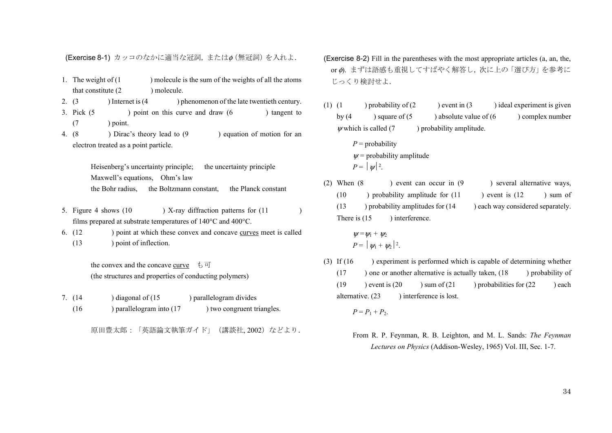(Exercise 8-1) カッコのなかに適当な冠詞,またはφ(無冠詞)を入れよ.

- 1. The weight of (1 ) molecule is the sum of the weights of all the atoms that constitute (2 ) molecule.
- 2.  $(3)$  ) Internet is  $(4)$  ) phenomenon of the late twentieth century. 3. Pick (5 ) point on this curve and draw (6 ) tangent to
- $(7 \t) point.$
- 4. (8 ) Dirac's theory lead to (9 ) equation of motion for an electron treated as a point particle.

Heisenberg's uncertainty principle; the uncertainty principle Maxwell's equations, Ohm's law the Bohr radius, the Boltzmann constant, the Planck constant

- 5. Figure 4 shows (10 ) X-ray diffraction patterns for (11 ) films prepared at substrate temperatures of 140°C and 400°C.
- 6. (12 ) point at which these convex and concave curves meet is called (13 ) point of inflection.

the convex and the concave curve  $\quad \mathfrak{b} \ \mathfrak{\Box}$ (the structures and properties of conducting polymers)

7. (14 ) diagonal of (15 ) parallelogram divides (16 ) parallelogram into (17 ) two congruent triangles.

原田豊太郎:「英語論文執筆ガイド」(講談社, 2002)などより.

- (Exercise 8-2) Fill in the parentheses with the most appropriate articles (a, an, the, or Φ. まずは語感も重視してすばやく解答し、次に上の「選び方」を参考に じっくり検討せよ.
- (1) (1 ) probability of  $(2)$  ) event in  $(3)$  ) ideal experiment is given by  $(4 \cup \text{square of } (5 \cup \text{absolute value of } (6 \cup \text{complex number})))$  $\psi$  which is called (7 ) probability amplitude.
	- $P =$ probability  $\nu$  = probability amplitude  $P = |y|^2$ .
- (2) When (8 ) event can occur in (9 ) several alternative ways,  $(10)$  probability amplitude for  $(11)$  event is  $(12)$  sum of  $(13$  ) probability amplitudes for  $(14)$  each way considered separately. There is (15 ) interference.

$$
\psi = \psi_1 + \psi_2
$$
  

$$
P = |\psi_1 + \psi_2|^2.
$$

(3) If (16 ) experiment is performed which is capable of determining whether  $(17)$  ) one or another alternative is actually taken,  $(18)$  probability of (19 ) event is  $(20 \t)$  sum of  $(21 \t)$  probabilities for  $(22 \t)$  each alternative. (23 ) interference is lost.

 $P = P_1 + P_2.$ 

From R. P. Feynman, R. B. Leighton, and M. L. Sands: *The Feynman Lectures on Physics* (Addison-Wesley, 1965) Vol. III, Sec. 1-7.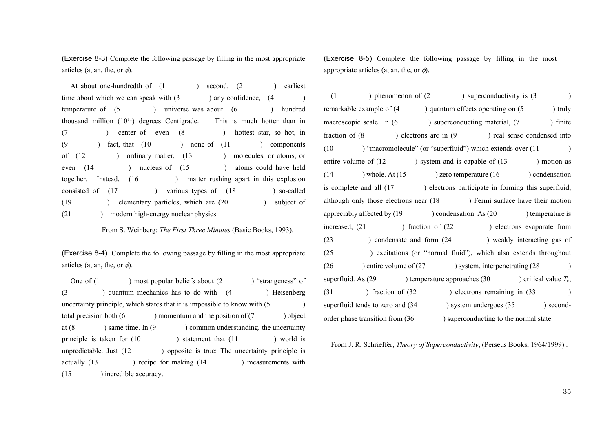(Exercise 8-3) Complete the following passage by filling in the most appropriate articles (a, an, the, or  $\phi$ ).

At about one-hundredth of (1 ) second, (2 ) earliest time about which we can speak with  $(3 \t)$  any confidence,  $(4 \t)$ temperature of (5 ) universe was about (6 ) hundred thousand million  $(10^{11})$  degrees Centigrade. This is much hotter than in (7 ) center of even (8 ) hottest star, so hot, in (9 ) fact, that (10 ) none of (11 ) components of (12 ) ordinary matter, (13 ) molecules, or atoms, or even (14 ) nucleus of (15 ) atoms could have held together. Instead, (16 ) matter rushing apart in this explosion consisted of  $(17 \t)$  various types of  $(18 \t)$  so-called (19 ) elementary particles, which are (20 ) subject of (21 ) modern high-energy nuclear physics.

From S. Weinberg: *The First Three Minutes* (Basic Books, 1993).

(Exercise 8-4) Complete the following passage by filling in the most appropriate articles (a, an, the, or  $\phi$ ).

One of (1 ) most popular beliefs about (2 ) "strangeness" of (3 ) quantum mechanics has to do with (4 ) Heisenberg uncertainty principle, which states that it is impossible to know with  $(5 \t\t\t\t)$ total precision both (6 ) momentum and the position of (7 ) object at (8 ) same time. In (9 ) common understanding, the uncertainty principle is taken for (10 ) statement that (11 ) world is unpredictable. Just  $(12)$  ) opposite is true: The uncertainty principle is actually (13 ) recipe for making (14 ) measurements with (15 ) incredible accuracy.

(Exercise 8-5) Complete the following passage by filling in the most appropriate articles (a, an, the, or  $\phi$ ).

 $(1)$  ) phenomenon of  $(2)$  ) superconductivity is  $(3)$ remarkable example of  $(4 \cdot)$  quantum effects operating on  $(5 \cdot)$  truly macroscopic scale. In (6 ) superconducting material, (7 ) finite fraction of  $(8 \t\t)$  electrons are in  $(9 \t\t)$  real sense condensed into (10 ) "macromolecule" (or "superfluid") which extends over (11 ) entire volume of  $(12 \t\t\t)$  system and is capable of  $(13 \t\t\t)$  motion as (14 ) whole. At  $(15 \t)$  zero temperature  $(16 \t)$  condensation is complete and all (17 ) electrons participate in forming this superfluid, although only those electrons near (18 ) Fermi surface have their motion appreciably affected by (19 ) condensation. As (20 ) temperature is increased, (21 ) fraction of (22 ) electrons evaporate from (23 ) condensate and form (24 ) weakly interacting gas of (25 ) excitations (or "normal fluid"), which also extends throughout  $(26)$  entire volume of  $(27)$  ) system, interpenetrating  $(28)$ superfluid. As (29 ) temperature approaches (30 ) critical value *T*c, (31 ) fraction of (32 ) electrons remaining in (33 ) superfluid tends to zero and  $(34 \times 9)$  system undergoes  $(35 \times 1)$  secondorder phase transition from (36 ) superconducting to the normal state.

From J. R. Schrieffer, *Theory of Superconductivity*, (Perseus Books, 1964/1999) .